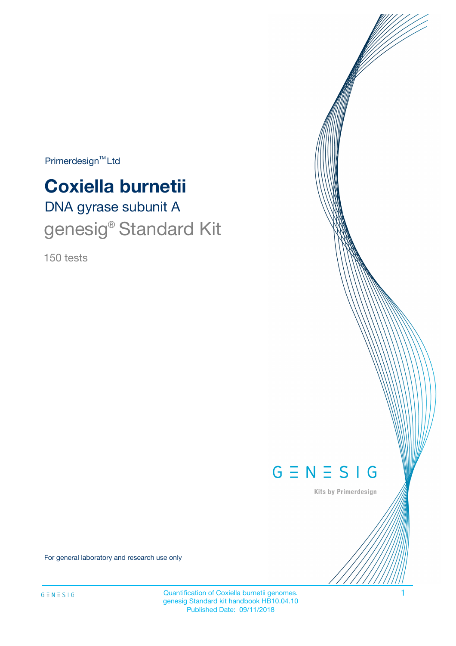$Primerdesign^{\text{TM}}Ltd$ 

# DNA gyrase subunit A **Coxiella burnetii** genesig<sup>®</sup> Standard Kit

150 tests



Kits by Primerdesign

For general laboratory and research use only

Quantification of Coxiella burnetii genomes. 1 genesig Standard kit handbook HB10.04.10 Published Date: 09/11/2018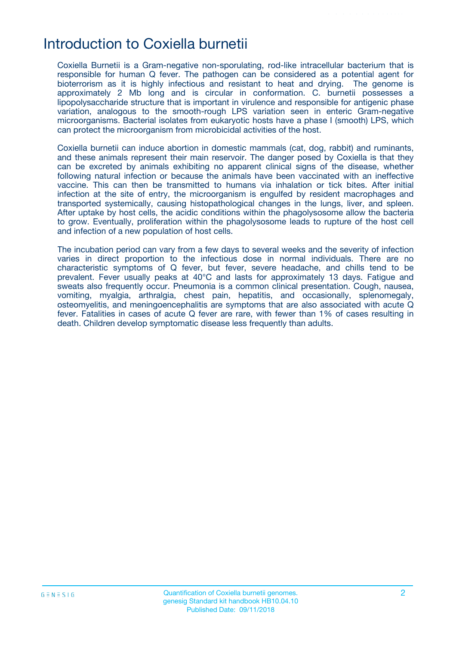### Introduction to Coxiella burnetii

Coxiella Burnetii is a Gram-negative non-sporulating, rod-like intracellular bacterium that is responsible for human Q fever. The pathogen can be considered as a potential agent for bioterrorism as it is highly infectious and resistant to heat and drying. The genome is approximately 2 Mb long and is circular in conformation. C. burnetii possesses a lipopolysaccharide structure that is important in virulence and responsible for antigenic phase variation, analogous to the smooth-rough LPS variation seen in enteric Gram-negative microorganisms. Bacterial isolates from eukaryotic hosts have a phase I (smooth) LPS, which can protect the microorganism from microbicidal activities of the host.

Coxiella burnetii can induce abortion in domestic mammals (cat, dog, rabbit) and ruminants, and these animals represent their main reservoir. The danger posed by Coxiella is that they can be excreted by animals exhibiting no apparent clinical signs of the disease, whether following natural infection or because the animals have been vaccinated with an ineffective vaccine. This can then be transmitted to humans via inhalation or tick bites. After initial infection at the site of entry, the microorganism is engulfed by resident macrophages and transported systemically, causing histopathological changes in the lungs, liver, and spleen. After uptake by host cells, the acidic conditions within the phagolysosome allow the bacteria to grow. Eventually, proliferation within the phagolysosome leads to rupture of the host cell and infection of a new population of host cells.

The incubation period can vary from a few days to several weeks and the severity of infection varies in direct proportion to the infectious dose in normal individuals. There are no characteristic symptoms of Q fever, but fever, severe headache, and chills tend to be prevalent. Fever usually peaks at 40°C and lasts for approximately 13 days. Fatigue and sweats also frequently occur. Pneumonia is a common clinical presentation. Cough, nausea, vomiting, myalgia, arthralgia, chest pain, hepatitis, and occasionally, splenomegaly, osteomyelitis, and meningoencephalitis are symptoms that are also associated with acute Q fever. Fatalities in cases of acute Q fever are rare, with fewer than 1% of cases resulting in death. Children develop symptomatic disease less frequently than adults.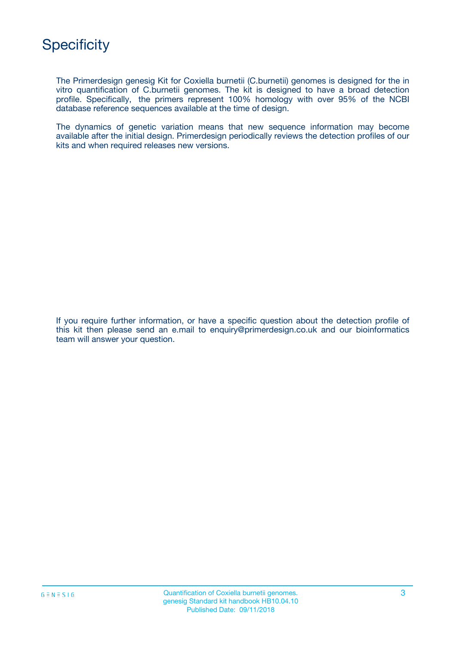

The Primerdesign genesig Kit for Coxiella burnetii (C.burnetii) genomes is designed for the in vitro quantification of C.burnetii genomes. The kit is designed to have a broad detection profile. Specifically, the primers represent 100% homology with over 95% of the NCBI database reference sequences available at the time of design.

The dynamics of genetic variation means that new sequence information may become available after the initial design. Primerdesign periodically reviews the detection profiles of our kits and when required releases new versions.

If you require further information, or have a specific question about the detection profile of this kit then please send an e.mail to enquiry@primerdesign.co.uk and our bioinformatics team will answer your question.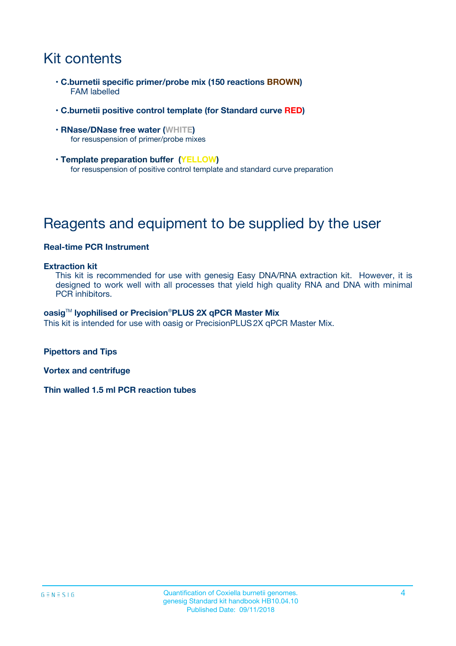# Kit contents

- **C.burnetii specific primer/probe mix (150 reactions BROWN)** FAM labelled
- **C.burnetii positive control template (for Standard curve RED)**
- **RNase/DNase free water (WHITE)** for resuspension of primer/probe mixes
- **Template preparation buffer (YELLOW)** for resuspension of positive control template and standard curve preparation

## Reagents and equipment to be supplied by the user

#### **Real-time PCR Instrument**

#### **Extraction kit**

This kit is recommended for use with genesig Easy DNA/RNA extraction kit. However, it is designed to work well with all processes that yield high quality RNA and DNA with minimal PCR inhibitors.

#### **oasig**TM **lyophilised or Precision**®**PLUS 2X qPCR Master Mix**

This kit is intended for use with oasig or PrecisionPLUS2X qPCR Master Mix.

**Pipettors and Tips**

**Vortex and centrifuge**

**Thin walled 1.5 ml PCR reaction tubes**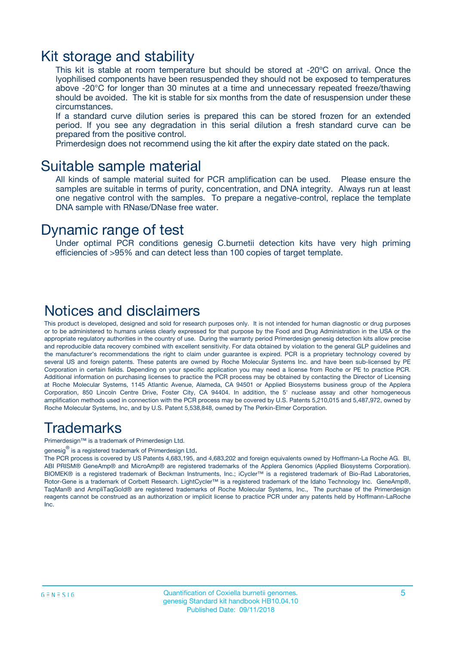### Kit storage and stability

This kit is stable at room temperature but should be stored at -20ºC on arrival. Once the lyophilised components have been resuspended they should not be exposed to temperatures above -20°C for longer than 30 minutes at a time and unnecessary repeated freeze/thawing should be avoided. The kit is stable for six months from the date of resuspension under these circumstances.

If a standard curve dilution series is prepared this can be stored frozen for an extended period. If you see any degradation in this serial dilution a fresh standard curve can be prepared from the positive control.

Primerdesign does not recommend using the kit after the expiry date stated on the pack.

### Suitable sample material

All kinds of sample material suited for PCR amplification can be used. Please ensure the samples are suitable in terms of purity, concentration, and DNA integrity. Always run at least one negative control with the samples. To prepare a negative-control, replace the template DNA sample with RNase/DNase free water.

### Dynamic range of test

Under optimal PCR conditions genesig C.burnetii detection kits have very high priming efficiencies of >95% and can detect less than 100 copies of target template.

### Notices and disclaimers

This product is developed, designed and sold for research purposes only. It is not intended for human diagnostic or drug purposes or to be administered to humans unless clearly expressed for that purpose by the Food and Drug Administration in the USA or the appropriate regulatory authorities in the country of use. During the warranty period Primerdesign genesig detection kits allow precise and reproducible data recovery combined with excellent sensitivity. For data obtained by violation to the general GLP guidelines and the manufacturer's recommendations the right to claim under guarantee is expired. PCR is a proprietary technology covered by several US and foreign patents. These patents are owned by Roche Molecular Systems Inc. and have been sub-licensed by PE Corporation in certain fields. Depending on your specific application you may need a license from Roche or PE to practice PCR. Additional information on purchasing licenses to practice the PCR process may be obtained by contacting the Director of Licensing at Roche Molecular Systems, 1145 Atlantic Avenue, Alameda, CA 94501 or Applied Biosystems business group of the Applera Corporation, 850 Lincoln Centre Drive, Foster City, CA 94404. In addition, the 5' nuclease assay and other homogeneous amplification methods used in connection with the PCR process may be covered by U.S. Patents 5,210,015 and 5,487,972, owned by Roche Molecular Systems, Inc, and by U.S. Patent 5,538,848, owned by The Perkin-Elmer Corporation.

### Trademarks

Primerdesign™ is a trademark of Primerdesign Ltd.

genesig $^\circledR$  is a registered trademark of Primerdesign Ltd.

The PCR process is covered by US Patents 4,683,195, and 4,683,202 and foreign equivalents owned by Hoffmann-La Roche AG. BI, ABI PRISM® GeneAmp® and MicroAmp® are registered trademarks of the Applera Genomics (Applied Biosystems Corporation). BIOMEK® is a registered trademark of Beckman Instruments, Inc.; iCycler™ is a registered trademark of Bio-Rad Laboratories, Rotor-Gene is a trademark of Corbett Research. LightCycler™ is a registered trademark of the Idaho Technology Inc. GeneAmp®, TaqMan® and AmpliTaqGold® are registered trademarks of Roche Molecular Systems, Inc., The purchase of the Primerdesign reagents cannot be construed as an authorization or implicit license to practice PCR under any patents held by Hoffmann-LaRoche Inc.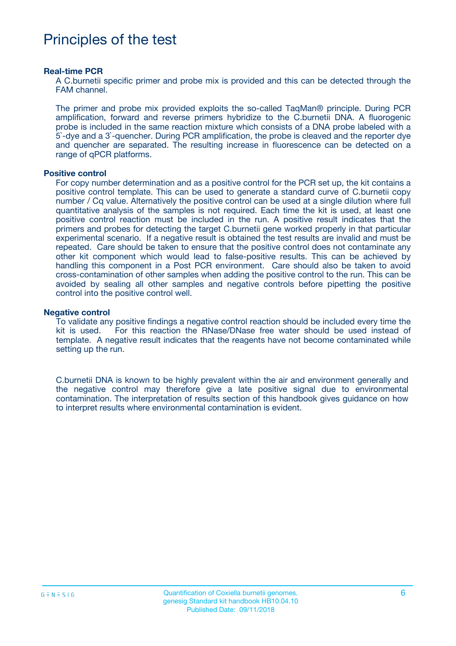### Principles of the test

#### **Real-time PCR**

A C.burnetii specific primer and probe mix is provided and this can be detected through the FAM channel.

The primer and probe mix provided exploits the so-called TaqMan® principle. During PCR amplification, forward and reverse primers hybridize to the C.burnetii DNA. A fluorogenic probe is included in the same reaction mixture which consists of a DNA probe labeled with a 5`-dye and a 3`-quencher. During PCR amplification, the probe is cleaved and the reporter dye and quencher are separated. The resulting increase in fluorescence can be detected on a range of qPCR platforms.

#### **Positive control**

For copy number determination and as a positive control for the PCR set up, the kit contains a positive control template. This can be used to generate a standard curve of C.burnetii copy number / Cq value. Alternatively the positive control can be used at a single dilution where full quantitative analysis of the samples is not required. Each time the kit is used, at least one positive control reaction must be included in the run. A positive result indicates that the primers and probes for detecting the target C.burnetii gene worked properly in that particular experimental scenario. If a negative result is obtained the test results are invalid and must be repeated. Care should be taken to ensure that the positive control does not contaminate any other kit component which would lead to false-positive results. This can be achieved by handling this component in a Post PCR environment. Care should also be taken to avoid cross-contamination of other samples when adding the positive control to the run. This can be avoided by sealing all other samples and negative controls before pipetting the positive control into the positive control well.

#### **Negative control**

To validate any positive findings a negative control reaction should be included every time the kit is used. For this reaction the RNase/DNase free water should be used instead of template. A negative result indicates that the reagents have not become contaminated while setting up the run.

C.burnetii DNA is known to be highly prevalent within the air and environment generally and the negative control may therefore give a late positive signal due to environmental contamination. The interpretation of results section of this handbook gives guidance on how to interpret results where environmental contamination is evident.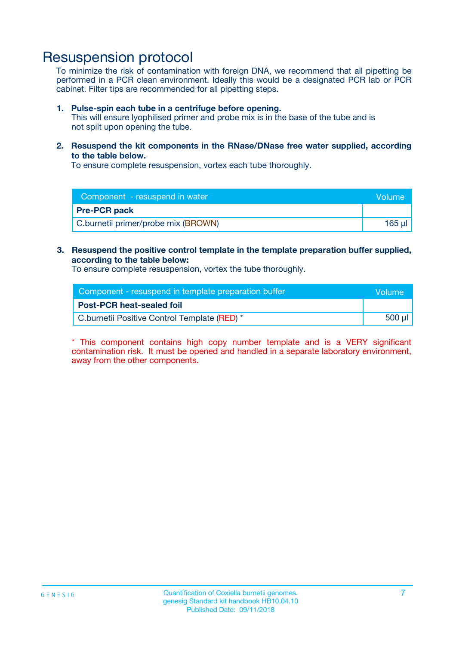### Resuspension protocol

To minimize the risk of contamination with foreign DNA, we recommend that all pipetting be performed in a PCR clean environment. Ideally this would be a designated PCR lab or PCR cabinet. Filter tips are recommended for all pipetting steps.

#### **1. Pulse-spin each tube in a centrifuge before opening.**

This will ensure lyophilised primer and probe mix is in the base of the tube and is not spilt upon opening the tube.

**2. Resuspend the kit components in the RNase/DNase free water supplied, according to the table below.**

To ensure complete resuspension, vortex each tube thoroughly.

| Component - resuspend in water      | Volume |
|-------------------------------------|--------|
| <b>Pre-PCR pack</b>                 |        |
| C.burnetii primer/probe mix (BROWN) | 165 µl |

#### **3. Resuspend the positive control template in the template preparation buffer supplied, according to the table below:**

To ensure complete resuspension, vortex the tube thoroughly.

| Component - resuspend in template preparation buffer |        |  |
|------------------------------------------------------|--------|--|
| <b>Post-PCR heat-sealed foil</b>                     |        |  |
| C.burnetii Positive Control Template (RED) *         | 500 µl |  |

\* This component contains high copy number template and is a VERY significant contamination risk. It must be opened and handled in a separate laboratory environment, away from the other components.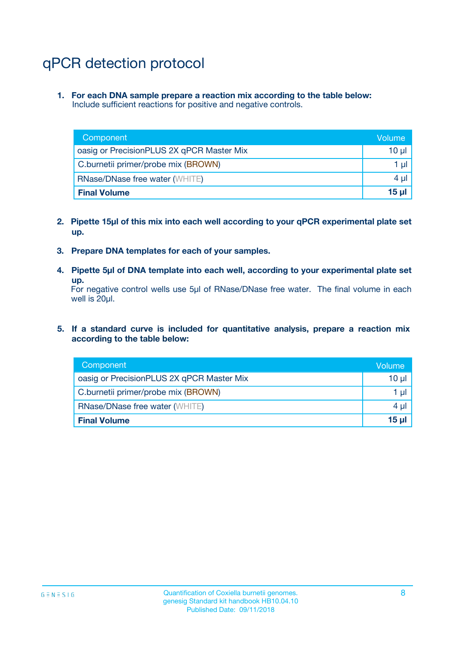# qPCR detection protocol

**1. For each DNA sample prepare a reaction mix according to the table below:** Include sufficient reactions for positive and negative controls.

| Component                                 | Volume   |
|-------------------------------------------|----------|
| oasig or PrecisionPLUS 2X qPCR Master Mix | 10 $\mu$ |
| C.burnetii primer/probe mix (BROWN)       | 1 $\mu$  |
| <b>RNase/DNase free water (WHITE)</b>     | $4 \mu$  |
| <b>Final Volume</b>                       | $15 \mu$ |

- **2. Pipette 15µl of this mix into each well according to your qPCR experimental plate set up.**
- **3. Prepare DNA templates for each of your samples.**
- **4. Pipette 5µl of DNA template into each well, according to your experimental plate set up.**

For negative control wells use 5µl of RNase/DNase free water. The final volume in each well is 20µl.

**5. If a standard curve is included for quantitative analysis, prepare a reaction mix according to the table below:**

| Component                                 | Volume          |
|-------------------------------------------|-----------------|
| oasig or PrecisionPLUS 2X qPCR Master Mix | 10 µl           |
| C.burnetii primer/probe mix (BROWN)       | 1 µI            |
| <b>RNase/DNase free water (WHITE)</b>     | $4 \mu$         |
| <b>Final Volume</b>                       | 15 <sub>µ</sub> |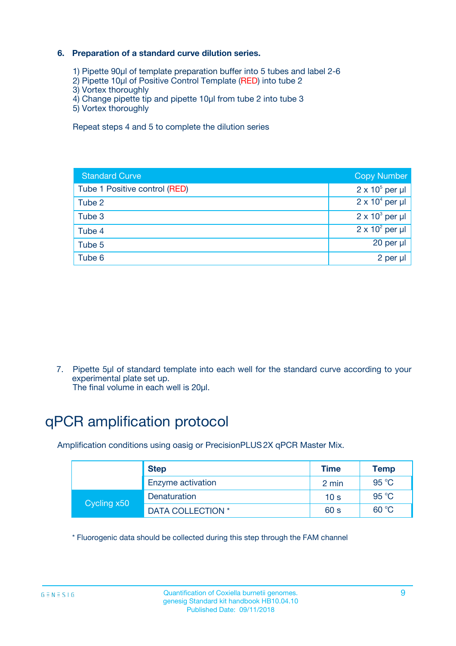#### **6. Preparation of a standard curve dilution series.**

- 1) Pipette 90µl of template preparation buffer into 5 tubes and label 2-6
- 2) Pipette 10µl of Positive Control Template (RED) into tube 2
- 3) Vortex thoroughly
- 4) Change pipette tip and pipette 10µl from tube 2 into tube 3
- 5) Vortex thoroughly

Repeat steps 4 and 5 to complete the dilution series

| <b>Standard Curve</b>         | <b>Copy Number</b>     |
|-------------------------------|------------------------|
| Tube 1 Positive control (RED) | $2 \times 10^5$ per µl |
| Tube 2                        | $2 \times 10^4$ per µl |
| Tube 3                        | $2 \times 10^3$ per µl |
| Tube 4                        | $2 \times 10^2$ per µl |
| Tube 5                        | 20 per µl              |
| Tube 6                        | 2 per ul               |

7. Pipette 5µl of standard template into each well for the standard curve according to your experimental plate set up.

The final volume in each well is 20µl.

# qPCR amplification protocol

Amplification conditions using oasig or PrecisionPLUS2X qPCR Master Mix.

| <b>Step</b> |                   | <b>Time</b>     | Temp    |
|-------------|-------------------|-----------------|---------|
|             | Enzyme activation | 2 min           | 95 °C   |
| Cycling x50 | Denaturation      | 10 <sub>s</sub> | 95 $°C$ |
|             | DATA COLLECTION * | 60 s            | 60 °C   |

\* Fluorogenic data should be collected during this step through the FAM channel